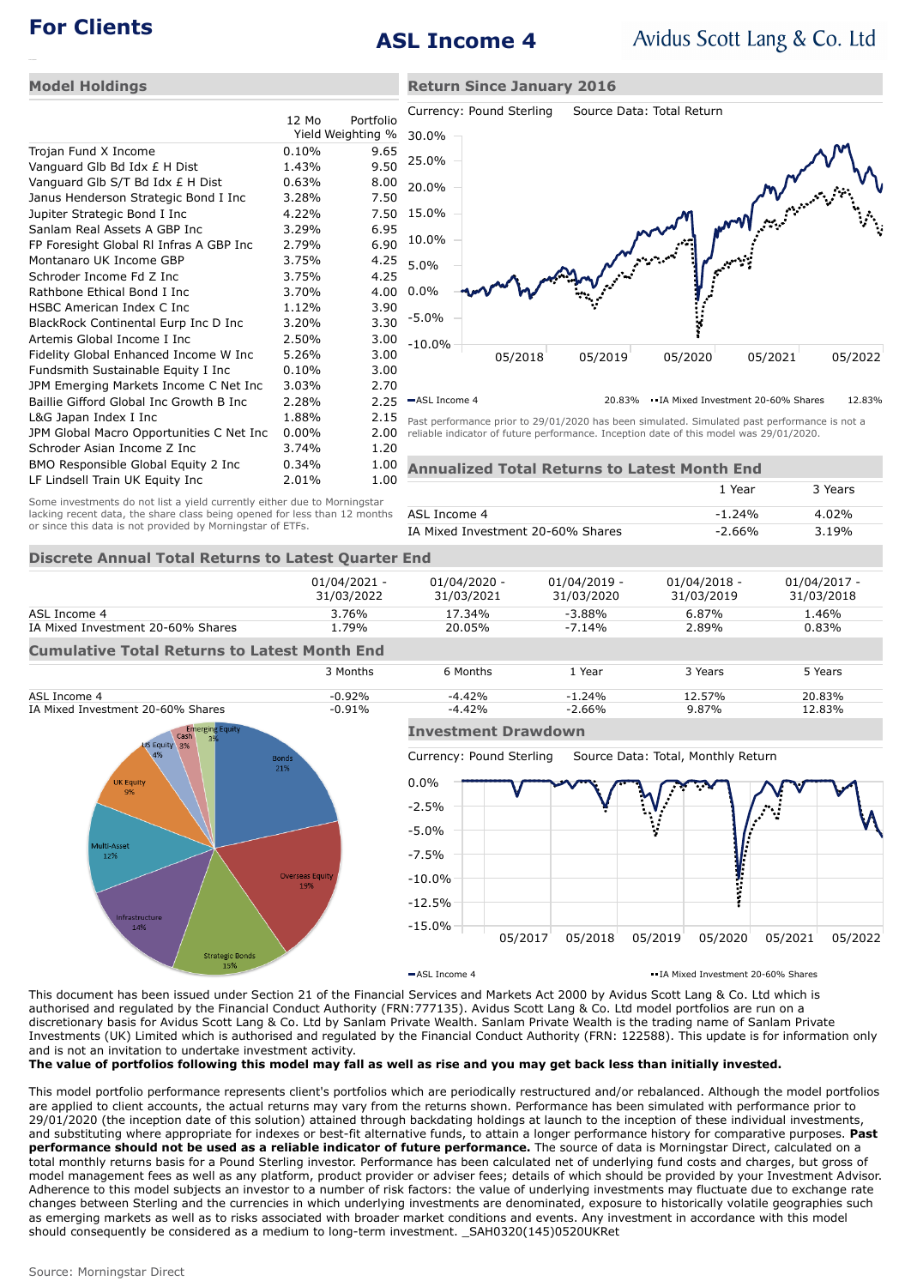# **For Clients ASL Income 4**

**Return Since January 2016**

### **Model Holdings**

|                                          | $12 \text{ Mo}$ | Portfolio         | Cu    |
|------------------------------------------|-----------------|-------------------|-------|
|                                          |                 | Yield Weighting % | 30    |
| Trojan Fund X Income                     | 0.10%           | 9.65              |       |
| Vanguard Glb Bd Idx £ H Dist             | 1.43%           | 9.50              | 25    |
| Vanguard Glb S/T Bd Idx £ H Dist         | 0.63%           | 8.00              | 20    |
| Janus Henderson Strategic Bond I Inc     | 3.28%           | 7.50              |       |
| Jupiter Strategic Bond I Inc             | 4.22%           | 7.50              | 15    |
| Sanlam Real Assets A GBP Inc             | 3.29%           | 6.95              |       |
| FP Foresight Global RI Infras A GBP Inc  | 2.79%           | 6.90              | 10    |
| Montanaro UK Income GBP                  | 3.75%           | 4.25              | 5.0   |
| Schroder Income Fd Z Inc                 | 3.75%           | 4.25              |       |
| Rathbone Ethical Bond I Inc              | 3.70%           | 4.00              | 0.0   |
| HSBC American Index C Inc                | 1.12%           | 3.90              |       |
| BlackRock Continental Eurp Inc D Inc     | 3.20%           | 3.30              | -5.   |
| Artemis Global Income I Inc              | 2.50%           | 3.00              | $-1($ |
| Fidelity Global Enhanced Income W Inc    | 5.26%           | 3.00              |       |
| Fundsmith Sustainable Equity I Inc       | 0.10%           | 3.00              |       |
| JPM Emerging Markets Income C Net Inc    | 3.03%           | 2.70              |       |
| Baillie Gifford Global Inc Growth B Inc  | 2.28%           | 2.25              | $-A$  |
| L&G Japan Index I Inc                    | 1.88%           | 2.15              | Pas   |
| JPM Global Macro Opportunities C Net Inc | $0.00\%$        | 2.00              | reli  |
| Schroder Asian Income Z Inc              | 3.74%           | 1.20              |       |
| BMO Responsible Global Equity 2 Inc      | 0.34%           | 1.00              | Αr    |
| LF Lindsell Train UK Equity Inc          | 2.01%           | 1.00              |       |



ASL Income 4 20.83% IA Mixed Investment 20-60% Shares 12.83%

st performance prior to 29/01/2020 has been simulated. Simulated past performance is not a able indicator of future performance. Inception date of this model was 29/01/2020.

**Annualized Total Returns to Latest Month End** Some investments do not list a yield currently either due to Morningstar

|                                   | 1 Year   | 3 Years  |
|-----------------------------------|----------|----------|
| ASL Income 4                      | $-1.24%$ | $4.02\%$ |
| IA Mixed Investment 20-60% Shares | $-2.66%$ | 3.19%    |

### **Discrete Annual Total Returns to Latest Quarter End**

lacking recent data, the share class being opened for less than 12 months

or since this data is not provided by Morningstar of ETFs.

|                                                     | $01/04/2021 -$ | 01/04/2020 - | $01/04/2019 -$ | 01/04/2018 - | $01/04/2017 -$ |  |  |
|-----------------------------------------------------|----------------|--------------|----------------|--------------|----------------|--|--|
|                                                     | 31/03/2022     | 31/03/2021   | 31/03/2020     | 31/03/2019   | 31/03/2018     |  |  |
| ASL Income 4                                        | 3.76%          | 17.34%       | $-3.88%$       | 6.87%        | 1.46%          |  |  |
| IA Mixed Investment 20-60% Shares                   | L.79%          | 20.05%       | $-7.14%$       | 2.89%        | 0.83%          |  |  |
| <b>Cumulative Total Returns to Latest Month End</b> |                |              |                |              |                |  |  |





## **Investment Drawdown**

Currency: Pound Sterling Source Data: Total, Monthly Return



ASL Income 4 **IA Mixed Investment 20-60% Shares IA Mixed Investment 20-60% Shares** 

This document has been issued under Section 21 of the Financial Services and Markets Act 2000 by Avidus Scott Lang & Co. Ltd which is authorised and regulated by the Financial Conduct Authority (FRN:777135). Avidus Scott Lang & Co. Ltd model portfolios are run on a discretionary basis for Avidus Scott Lang & Co. Ltd by Sanlam Private Wealth. Sanlam Private Wealth is the trading name of Sanlam Private Investments (UK) Limited which is authorised and regulated by the Financial Conduct Authority (FRN: 122588). This update is for information only and is not an invitation to undertake investment activity.

**The value of portfolios following this model may fall as well as rise and you may get back less than initially invested.**

This model portfolio performance represents client's portfolios which are periodically restructured and/or rebalanced. Although the model portfolios are applied to client accounts, the actual returns may vary from the returns shown. Performance has been simulated with performance prior to 29/01/2020 (the inception date of this solution) attained through backdating holdings at launch to the inception of these individual investments, and substituting where appropriate for indexes or best-fit alternative funds, to attain a longer performance history for comparative purposes. **Past performance should not be used as a reliable indicator of future performance.** The source of data is Morningstar Direct, calculated on a total monthly returns basis for a Pound Sterling investor. Performance has been calculated net of underlying fund costs and charges, but gross of model management fees as well as any platform, product provider or adviser fees; details of which should be provided by your Investment Advisor. Adherence to this model subjects an investor to a number of risk factors: the value of underlying investments may fluctuate due to exchange rate changes between Sterling and the currencies in which underlying investments are denominated, exposure to historically volatile geographies such as emerging markets as well as to risks associated with broader market conditions and events. Any investment in accordance with this model should consequently be considered as a medium to long-term investment. \_SAH0320(145)0520UKRet